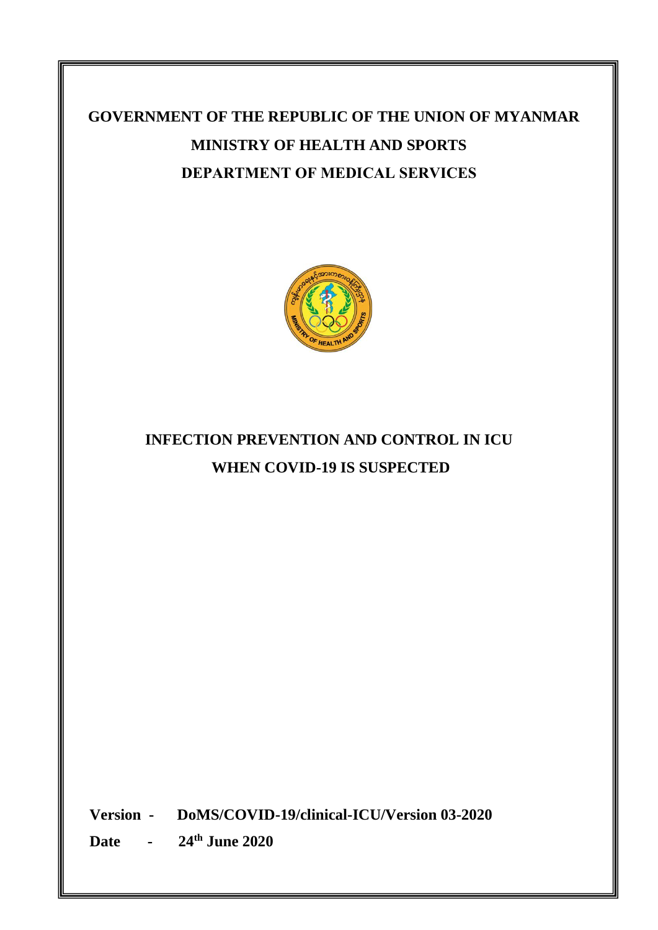# **GOVERNMENT OF THE REPUBLIC OF THE UNION OF MYANMAR MINISTRY OF HEALTH AND SPORTS DEPARTMENT OF MEDICAL SERVICES**



# **INFECTION PREVENTION AND CONTROL IN ICU WHEN COVID-19 IS SUSPECTED**

**Version - DoMS/COVID-19/clinical-ICU/Version 03-2020**

**Date - 24th June 2020**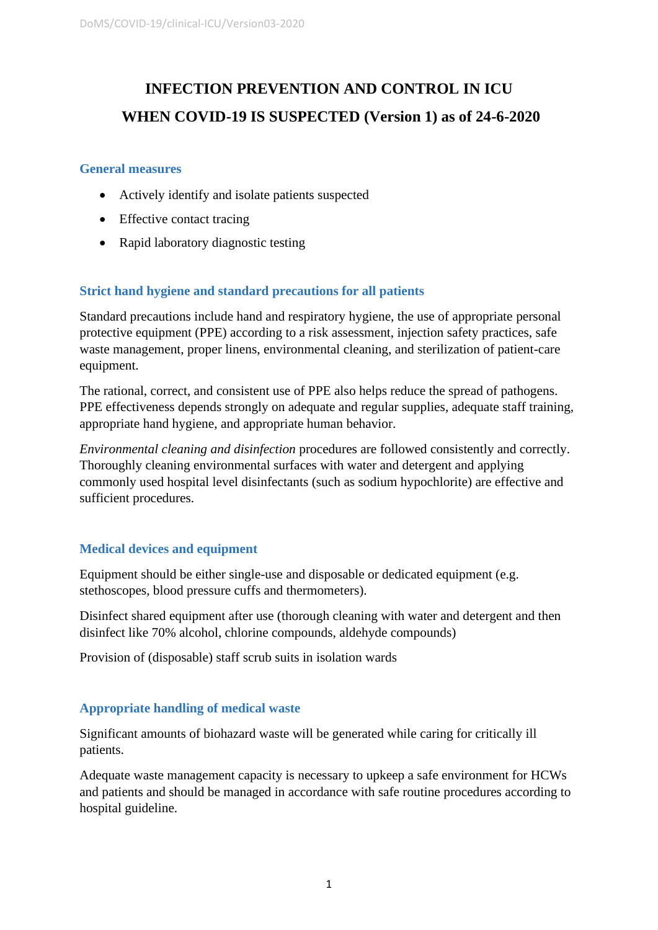# **INFECTION PREVENTION AND CONTROL IN ICU WHEN COVID-19 IS SUSPECTED (Version 1) as of 24-6-2020**

### **General measures**

- Actively identify and isolate patients suspected
- Effective contact tracing
- Rapid laboratory diagnostic testing

# **Strict hand hygiene and standard precautions for all patients**

Standard precautions include hand and respiratory hygiene, the use of appropriate personal protective equipment (PPE) according to a risk assessment, injection safety practices, safe waste management, proper linens, environmental cleaning, and sterilization of patient-care equipment.

The rational, correct, and consistent use of PPE also helps reduce the spread of pathogens. PPE effectiveness depends strongly on adequate and regular supplies, adequate staff training, appropriate hand hygiene, and appropriate human behavior.

*Environmental cleaning and disinfection* procedures are followed consistently and correctly. Thoroughly cleaning environmental surfaces with water and detergent and applying commonly used hospital level disinfectants (such as sodium hypochlorite) are effective and sufficient procedures.

# **Medical devices and equipment**

Equipment should be either single-use and disposable or dedicated equipment (e.g. stethoscopes, blood pressure cuffs and thermometers).

Disinfect shared equipment after use (thorough cleaning with water and detergent and then disinfect like 70% alcohol, chlorine compounds, aldehyde compounds)

Provision of (disposable) staff scrub suits in isolation wards

# **Appropriate handling of medical waste**

Significant amounts of biohazard waste will be generated while caring for critically ill patients.

Adequate waste management capacity is necessary to upkeep a safe environment for HCWs and patients and should be managed in accordance with safe routine procedures according to hospital guideline.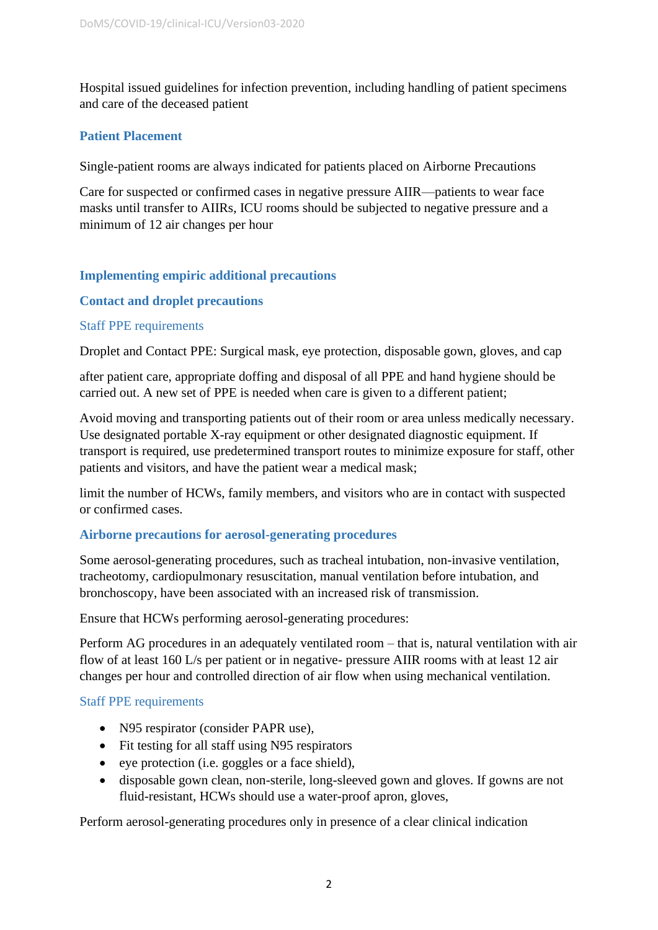Hospital issued guidelines for infection prevention, including handling of patient specimens and care of the deceased patient

### **Patient Placement**

Single-patient rooms are always indicated for patients placed on Airborne Precautions

Care for suspected or confirmed cases in negative pressure AIIR—patients to wear face masks until transfer to AIIRs, ICU rooms should be subjected to negative pressure and a minimum of 12 air changes per hour

# **Implementing empiric additional precautions**

### **Contact and droplet precautions**

### Staff PPE requirements

Droplet and Contact PPE: Surgical mask, eye protection, disposable gown, gloves, and cap

after patient care, appropriate doffing and disposal of all PPE and hand hygiene should be carried out. A new set of PPE is needed when care is given to a different patient;

Avoid moving and transporting patients out of their room or area unless medically necessary. Use designated portable X-ray equipment or other designated diagnostic equipment. If transport is required, use predetermined transport routes to minimize exposure for staff, other patients and visitors, and have the patient wear a medical mask;

limit the number of HCWs, family members, and visitors who are in contact with suspected or confirmed cases.

### **Airborne precautions for aerosol-generating procedures**

Some aerosol-generating procedures, such as tracheal intubation, non-invasive ventilation, tracheotomy, cardiopulmonary resuscitation, manual ventilation before intubation, and bronchoscopy, have been associated with an increased risk of transmission.

Ensure that HCWs performing aerosol-generating procedures:

Perform AG procedures in an adequately ventilated room – that is, natural ventilation with air flow of at least 160 L/s per patient or in negative- pressure AIIR rooms with at least 12 air changes per hour and controlled direction of air flow when using mechanical ventilation.

### Staff PPE requirements

- N95 respirator (consider PAPR use),
- Fit testing for all staff using N95 respirators
- eye protection (i.e. goggles or a face shield),
- disposable gown clean, non-sterile, long-sleeved gown and gloves. If gowns are not fluid-resistant, HCWs should use a water-proof apron, gloves,

Perform aerosol-generating procedures only in presence of a clear clinical indication